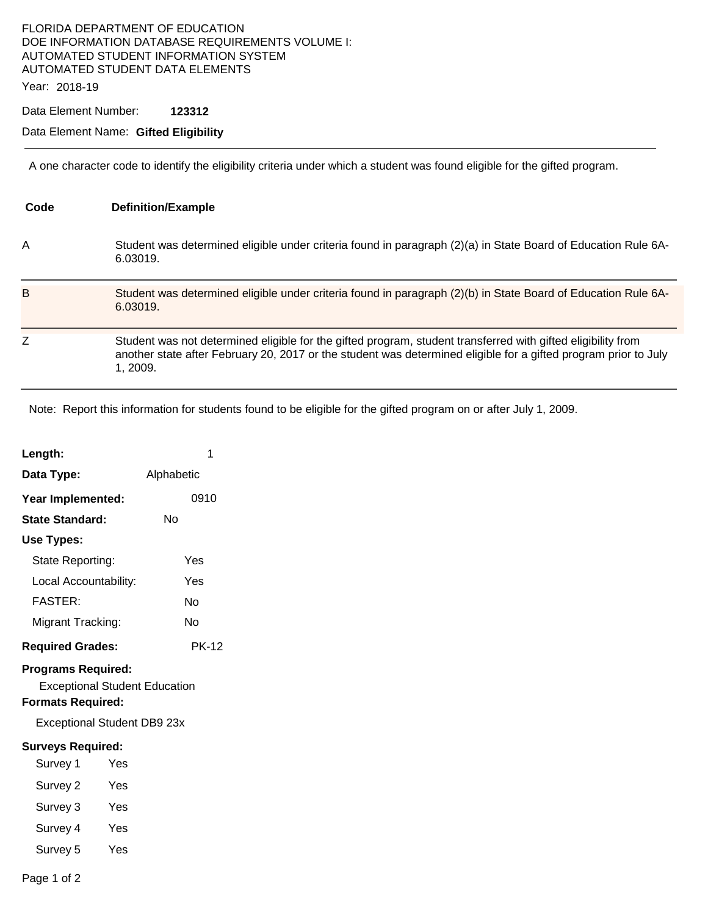### FLORIDA DEPARTMENT OF EDUCATION DOE INFORMATION DATABASE REQUIREMENTS VOLUME I: AUTOMATED STUDENT INFORMATION SYSTEM AUTOMATED STUDENT DATA ELEMENTS

Year: 2018-19

Data Element Number: **123312** 

#### Data Element Name: **Gifted Eligibility**

A one character code to identify the eligibility criteria under which a student was found eligible for the gifted program.

| Code | <b>Definition/Example</b>                                                                                                                                                                                                                  |
|------|--------------------------------------------------------------------------------------------------------------------------------------------------------------------------------------------------------------------------------------------|
| Α    | Student was determined eligible under criteria found in paragraph (2)(a) in State Board of Education Rule 6A-<br>6.03019.                                                                                                                  |
| B    | Student was determined eligible under criteria found in paragraph (2)(b) in State Board of Education Rule 6A-<br>6.03019.                                                                                                                  |
| Z    | Student was not determined eligible for the gifted program, student transferred with gifted eligibility from<br>another state after February 20, 2017 or the student was determined eligible for a gifted program prior to July<br>1.2009. |

Note: Report this information for students found to be eligible for the gifted program on or after July 1, 2009.

| Length:                                                                                       |     | 1            |  |  |  |
|-----------------------------------------------------------------------------------------------|-----|--------------|--|--|--|
| Data Type:                                                                                    |     | Alphabetic   |  |  |  |
| Year Implemented:                                                                             |     | 0910         |  |  |  |
| <b>State Standard:</b>                                                                        |     | Nο           |  |  |  |
| <b>Use Types:</b>                                                                             |     |              |  |  |  |
| State Reporting:                                                                              |     | Yes          |  |  |  |
| Local Accountability:                                                                         |     | Yes          |  |  |  |
| <b>FASTER:</b>                                                                                |     | N٥           |  |  |  |
| Migrant Tracking:                                                                             |     | No           |  |  |  |
| <b>Required Grades:</b>                                                                       |     | <b>PK-12</b> |  |  |  |
| <b>Programs Required:</b><br><b>Exceptional Student Education</b><br><b>Formats Required:</b> |     |              |  |  |  |
| Exceptional Student DB9 23x                                                                   |     |              |  |  |  |
| <b>Surveys Required:</b>                                                                      |     |              |  |  |  |
| Survey 1                                                                                      | Yes |              |  |  |  |
| Survey 2                                                                                      | Yes |              |  |  |  |
| Survey 3                                                                                      | Yes |              |  |  |  |
| Survey 4                                                                                      | Yes |              |  |  |  |
| Survey 5                                                                                      | Yes |              |  |  |  |
| Page 1 of 2                                                                                   |     |              |  |  |  |